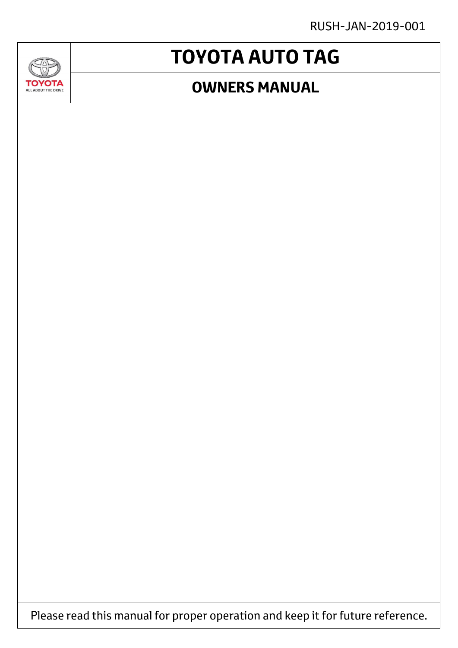RUSH-JAN-2019-001

### **GAD TOYOTA** ALL ABOUT THE DRIVE

# **TOYOTA AUTO TAG**

### **OWNERS MANUAL**

Please read this manual for proper operation and keep it for future reference.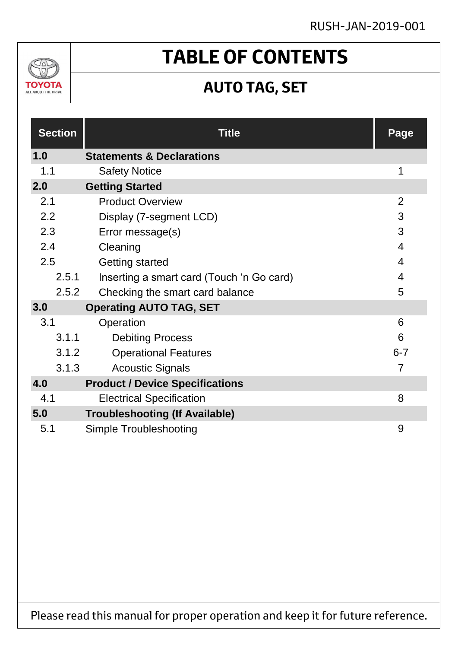### RUSH-JAN-2019-001



### **TABLE OF CONTENTS**

### **AUTO TAG, SET**

| <b>Section</b> | <b>Title</b>                              | Page           |
|----------------|-------------------------------------------|----------------|
| 1.0            | <b>Statements &amp; Declarations</b>      |                |
| 1.1            | <b>Safety Notice</b>                      | 1              |
| 2.0            | <b>Getting Started</b>                    |                |
| 2.1            | <b>Product Overview</b>                   | 2              |
| 2.2            | Display (7-segment LCD)                   | 3              |
| 2.3            | Error message(s)                          | 3              |
| 2.4            | Cleaning                                  | $\overline{4}$ |
| 2.5            | Getting started                           | 4              |
| 2.5.1          | Inserting a smart card (Touch 'n Go card) | 4              |
| 2.5.2          | Checking the smart card balance           | 5              |
| 3.0            | <b>Operating AUTO TAG, SET</b>            |                |
| 3.1            | Operation                                 | 6              |
| 3.1.1          | <b>Debiting Process</b>                   | 6              |
| 3.1.2          | <b>Operational Features</b>               | $6 - 7$        |
| 3.1.3          | <b>Acoustic Signals</b>                   | $\overline{7}$ |
| 4.0            | <b>Product / Device Specifications</b>    |                |
| 4.1            | <b>Electrical Specification</b>           | 8              |
| 5.0            | <b>Troubleshooting (If Available)</b>     |                |
| 5.1            | Simple Troubleshooting                    | 9              |

Please read this manual for proper operation and keep it for future reference.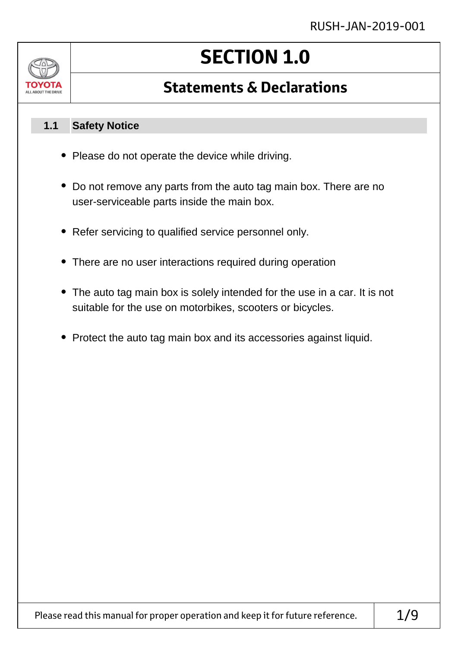

# **SECTION 1.0**

### **Statements & Declarations**

#### **Safety Notice 1.1**

- Please do not operate the device while driving.
- Do not remove any parts from the auto tag main box. There are no user-serviceable parts inside the main box.
- Refer servicing to qualified service personnel only.
- There are no user interactions required during operation
- The auto tag main box is solely intended for the use in a car. It is not suitable for the use on motorbikes, scooters or bicycles.
- Protect the auto tag main box and its accessories against liquid.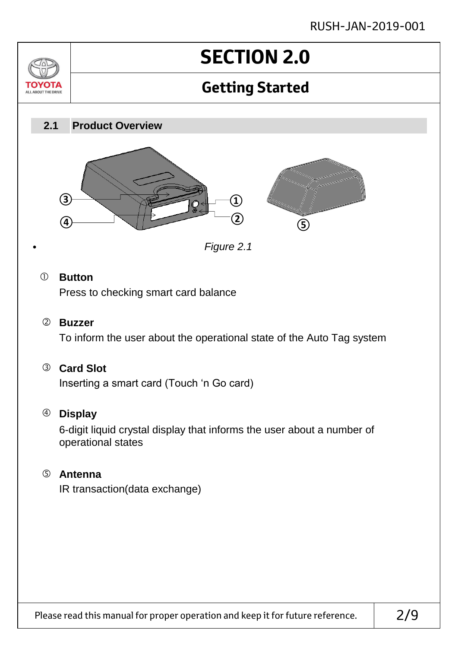### RUSH-JAN-2019-001



#### **Card Slot**

Inserting a smart card (Touch 'n Go card)

#### **Display**

6-digit liquid crystal display that informs the user about a number of operational states

#### **Antenna**

IR transaction (data exchange)

Please read this manual for proper operation and keep it for future reference.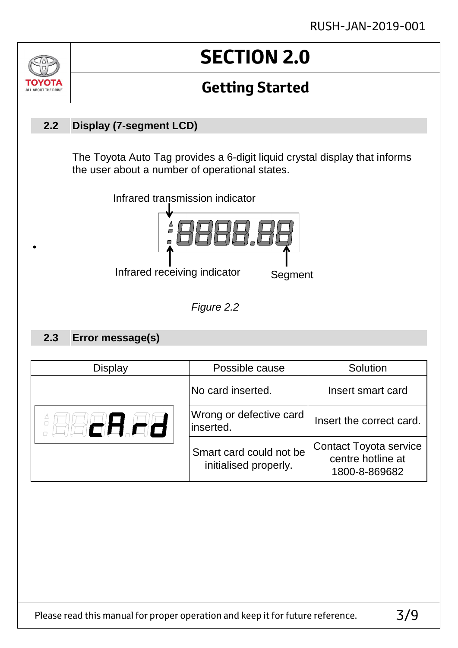

•

## **SECTION 2.0**

### **Getting Started**

#### **Display (7-segment LCD) 2.2**

The Toyota Auto Tag provides a 6-digit liquid crystal display that informs the user about a number of operational states.





#### **Error message(s) 2.3**

| Display | Possible cause                                   | Solution                                                            |
|---------|--------------------------------------------------|---------------------------------------------------------------------|
|         | No card inserted.                                | Insert smart card                                                   |
| 86.88   | Wrong or defective card<br>inserted.             | Insert the correct card.                                            |
|         | Smart card could not be<br>initialised properly. | <b>Contact Toyota service</b><br>centre hotline at<br>1800-8-869682 |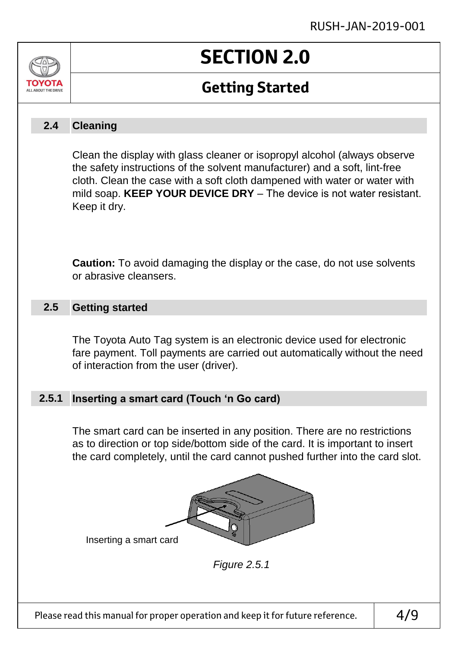# ALL AROUT THE DRIVE

# **SECTION 2.0**

### **Getting Started**

#### **Cleaning 2.4**

Clean the display with glass cleaner or isopropyl alcohol (always observe the safety instructions of the solvent manufacturer) and a soft, lint-free cloth. Clean the case with a soft cloth dampened with water or water with mild soap. **KEEP YOUR DEVICE DRY** – The device is not water resistant. Keep it dry.

**Caution:** To avoid damaging the display or the case, do not use solvents or abrasive cleansers.

#### **Getting started 2.5**

The Toyota Auto Tag system is an electronic device used for electronic fare payment. Toll payments are carried out automatically without the need of interaction from the user (driver).

#### **Inserting a smart card (Touch 'n Go card) 2.5.1**

The smart card can be inserted in any position. There are no restrictions as to direction or top side/bottom side of the card. It is important to insert the card completely, until the card cannot pushed further into the card slot.



*Figure 2.5.1*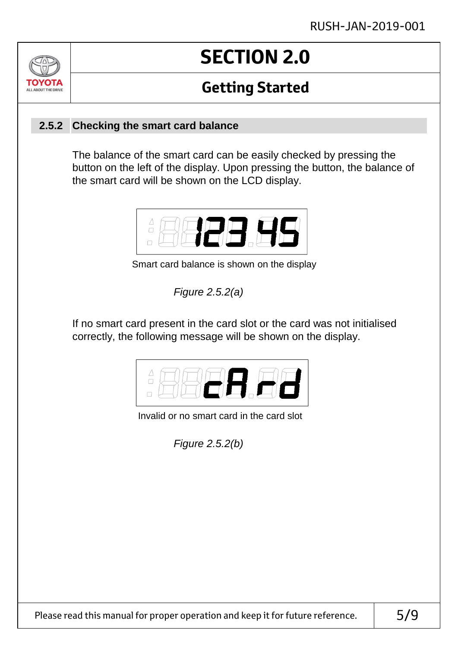### $\sqrt{ }$ OVOTA ALL ABOUT THE DRIVE

# **SECTION 2.0**

### **Getting Started**

### **Checking the smart card balance 2.5.2**

The balance of the smart card can be easily checked by pressing the button on the left of the display. Upon pressing the button, the balance of the smart card will be shown on the LCD display.



Smart card balance is shown on the display

*Figure 2.5.2(a)*

If no smart card present in the card slot or the card was not initialised correctly, the following message will be shown on the display.



Invalid or no smart card in the card slot

*Figure 2.5.2(b)*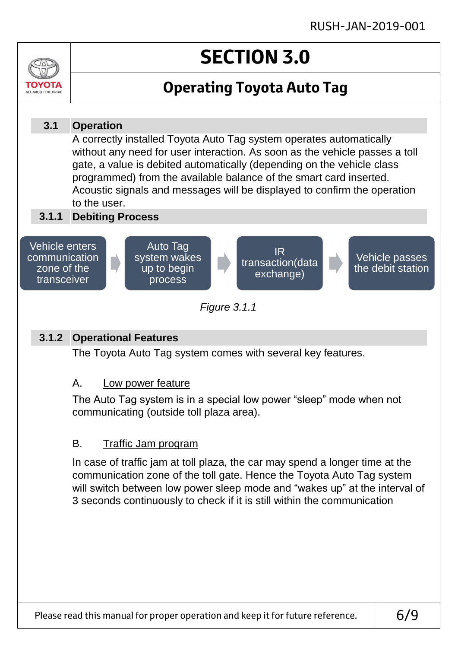# **SECTION 3.0**



#### **Operation Debiting Process 3.1.1** A correctly installed Toyota Auto Tag system operates automatically without any need for user interaction. As soon as the vehicle passes a toll gate, a value is debited automatically (depending on the vehicle class programmed) from the available balance of the smart card inserted. Acoustic signals and messages will be displayed to confirm the operation to the user. **3.1** *Figure 3.1.1* Vehicle enters communication zone of the transceiver Auto Tag system wakes up to begin process IR transaction(data exchange) Vehicle passes the debit station

#### **Operational Features 3.1.2**

ALL AROUT THE DRIV

The Toyota Auto Tag system comes with several key features.

#### A. Low power feature

The Auto Tag system is in a special low power "sleep" mode when not communicating (outside toll plaza area).

#### B. Traffic Jam program

In case of traffic jam at toll plaza, the car may spend a longer time at the communication zone of the toll gate. Hence the Toyota Auto Tag system will switch between low power sleep mode and "wakes up" at the interval of 3 seconds continuously to check if it is still within the communication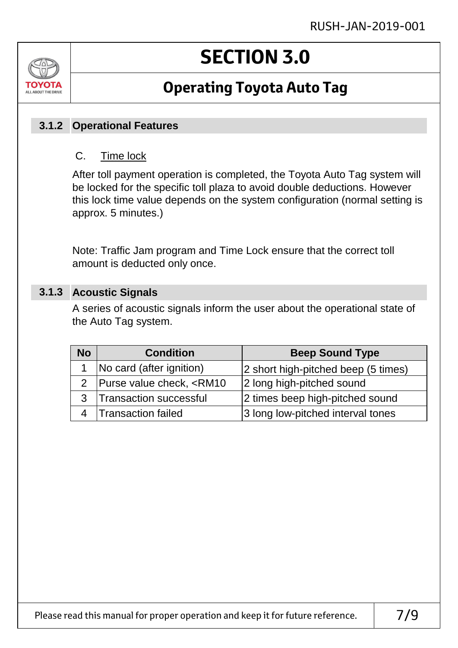# ALL ABOUT THE DRIVE

# **SECTION 3.0**

### **Operating Toyota Auto Tag**

### **Operational Features 3.1.2**

#### C. Time lock

After toll payment operation is completed, the Toyota Auto Tag system will be locked for the specific toll plaza to avoid double deductions. However this lock time value depends on the system configuration (normal setting is approx. 5 minutes.)

Note: Traffic Jam program and Time Lock ensure that the correct toll amount is deducted only once.

#### **Acoustic Signals 3.1.3**

A series of acoustic signals inform the user about the operational state of the Auto Tag system.

| <b>No</b> | <b>Condition</b>                                                               | <b>Beep Sound Type</b>              |
|-----------|--------------------------------------------------------------------------------|-------------------------------------|
|           | 1   No card (after ignition)                                                   | 2 short high-pitched beep (5 times) |
|           | 2   Purse value check, <rm10< td=""><td>2 long high-pitched sound</td></rm10<> | 2 long high-pitched sound           |
|           | 3   Transaction successful                                                     | 2 times beep high-pitched sound     |
|           | 4   Transaction failed                                                         | 3 long low-pitched interval tones   |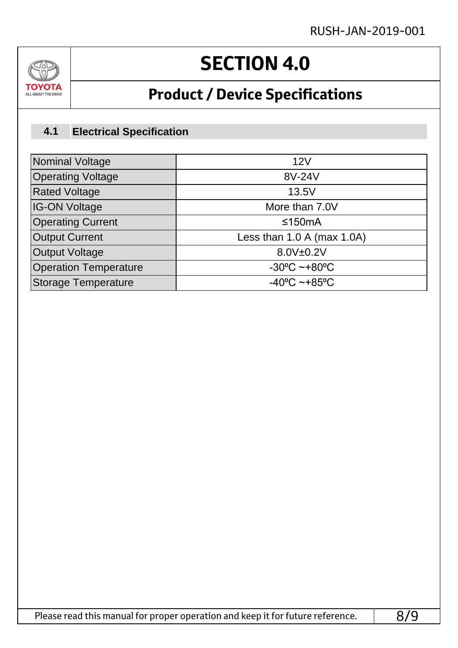

# **SECTION 4.0**

### **Product / Device Specifications**

#### **Electrical Specification 4.1**

| <b>Nominal Voltage</b>       | 12V                               |  |
|------------------------------|-----------------------------------|--|
| <b>Operating Voltage</b>     | 8V-24V                            |  |
| <b>Rated Voltage</b>         | 13.5V                             |  |
| <b>IG-ON Voltage</b>         | More than 7.0V                    |  |
| <b>Operating Current</b>     | ≤150 $mA$                         |  |
| <b>Output Current</b>        | Less than $1.0 A$ (max $1.0A$ )   |  |
| <b>Output Voltage</b>        | 8.0V±0.2V                         |  |
| <b>Operation Temperature</b> | $-30^{\circ}$ C ~+80 $^{\circ}$ C |  |
| <b>Storage Temperature</b>   | $-40^{\circ}$ C ~+85°C            |  |